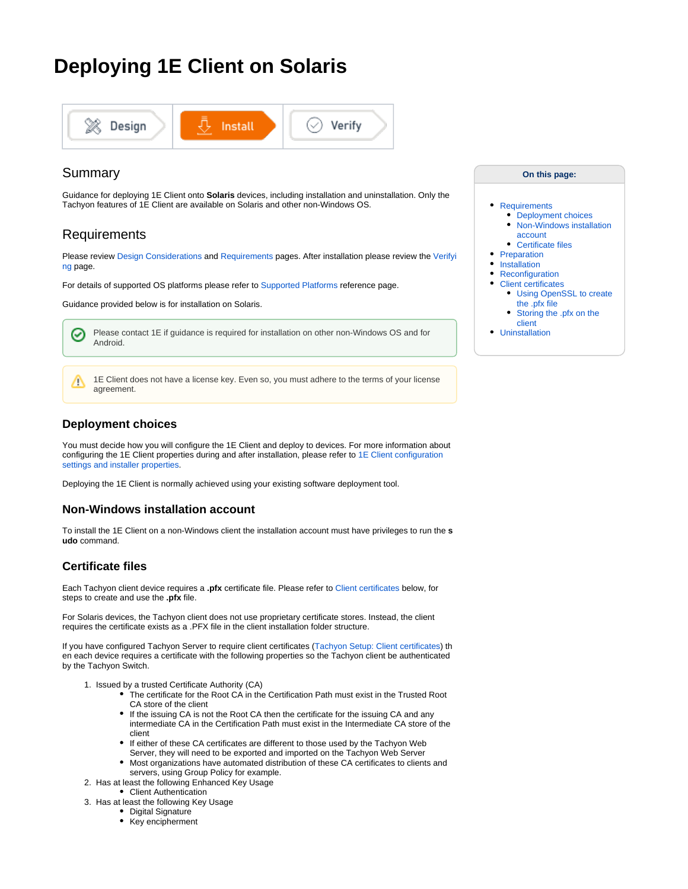# **Deploying 1E Client on Solaris**



# Summary

Guidance for deploying 1E Client onto **Solaris** devices, including installation and uninstallation. Only the Tachyon features of 1E Client are available on Solaris and other non-Windows OS.

# <span id="page-0-0"></span>Requirements

Please review [Design Considerations](https://help.1e.com/display/1EC52/Design+Considerations) and [Requirements](https://help.1e.com/display/1EC52/Requirements) pages. After installation please review the [Verifyi](https://help.1e.com/display/1EC52/Verifying) [ng](https://help.1e.com/display/1EC52/Verifying) page.

For details of supported OS platforms please refer to [Supported Platforms](https://help.1e.com/display/1EC52/Supported+Platforms) reference page.

Guidance provided below is for installation on Solaris.

Please contact 1E if guidance is required for installation on other non-Windows OS and for の Android.

1E Client does not have a license key. Even so, you must adhere to the terms of your license agreement.

## <span id="page-0-1"></span>**Deployment choices**

Δ

You must decide how you will configure the 1E Client and deploy to devices. For more information about configuring the 1E Client properties during and after installation, please refer to 1E Client configuration [settings and installer properties](https://help.1e.com/display/1EC52/1E+Client+configuration+settings+and+installer+properties).

Deploying the 1E Client is normally achieved using your existing software deployment tool.

## <span id="page-0-2"></span>**Non-Windows installation account**

To install the 1E Client on a non-Windows client the installation account must have privileges to run the **s udo** command.

## <span id="page-0-3"></span>**Certificate files**

Each Tachyon client device requires a **.pfx** certificate file. Please refer to [Client certificates](#page-2-0) below, for steps to create and use the **.pfx** file.

For Solaris devices, the Tachyon client does not use proprietary certificate stores. Instead, the client requires the certificate exists as a .PFX file in the client installation folder structure.

If you have configured Tachyon Server to require client certificates [\(Tachyon Setup: Client certificates\)](https://help.1e.com/display/TCN52/Tachyon+Setup#TachyonSetup-Clientcertificates) th en each device requires a certificate with the following properties so the Tachyon client be authenticated by the Tachyon Switch.

- 1. Issued by a trusted Certificate Authority (CA)
	- The certificate for the Root CA in the Certification Path must exist in the Trusted Root CA store of the client
	- If the issuing CA is not the Root CA then the certificate for the issuing CA and any intermediate CA in the Certification Path must exist in the Intermediate CA store of the client
	- If either of these CA certificates are different to those used by the Tachyon Web Server, they will need to be exported and imported on the Tachyon Web Server
	- Most organizations have automated distribution of these CA certificates to clients and servers, using Group Policy for example.
- 2. Has at least the following Enhanced Key Usage
	- Client Authentication
- 3. Has at least the following Key Usage
	- Digital Signature
	- Key encipherment

### **On this page:**

### • [Requirements](#page-0-0)

- [Deployment choices](#page-0-1)
- Non-Windows installation [account](#page-0-2)
- [Certificate files](#page-0-3)
- $\bullet$ [Preparation](#page-1-0)
- [Installation](#page-1-1)
- [Reconfiguration](#page-2-1)  $\bullet$ 
	- [Client certificates](#page-2-0) [Using OpenSSL to create](#page-2-2) 
		- [the .pfx file](#page-2-2) [Storing the .pfx on the](#page-3-0)
	-
- [client](#page-3-0)<br>• Uninstallation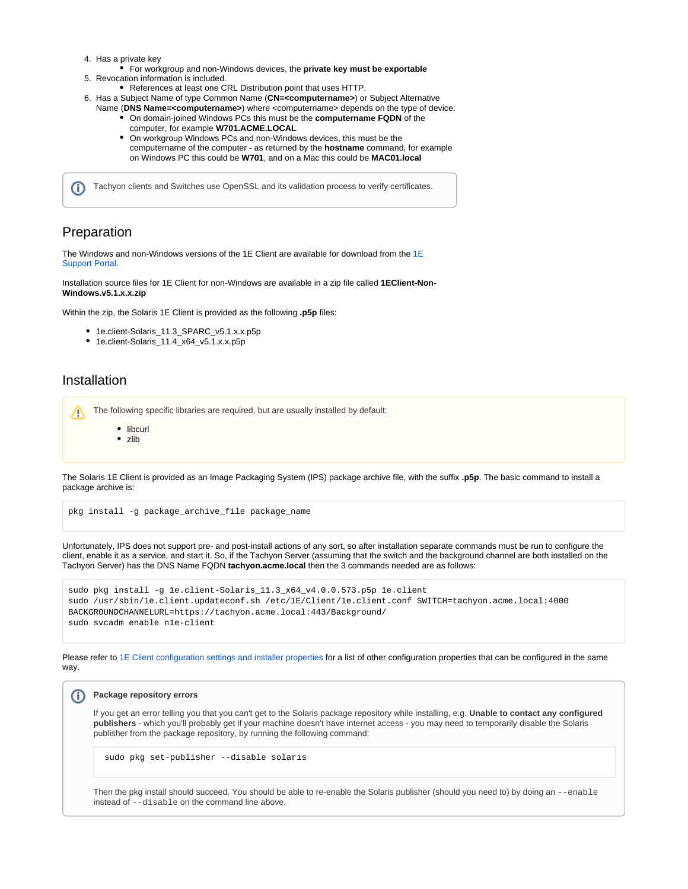- 4. Has a private key
- 5. Revocation information is included. For workgroup and non-Windows devices, the **private key must be exportable**
- 
- References at least one CRL Distribution point that uses HTTP.
- 6. Has a Subject Name of type Common Name (**CN=<computername>**) or Subject Alternative Name (**DNS Name=<computername>**) where <computername> depends on the type of device:
	- On domain-joined Windows PCs this must be the **computername FQDN** of the computer, for example **W701.ACME.LOCAL**
	- On workgroup Windows PCs and non-Windows devices, this must be the computername of the computer - as returned by the **hostname** command, for example on Windows PC this could be **W701**, and on a Mac this could be **MAC01.local**

Tachyon clients and Switches use OpenSSL and its validation process to verify certificates. ന

# <span id="page-1-0"></span>Preparation

The Windows and non-Windows versions of the [1E](https://1eportal.force.com/s/tachyontopicdetail) Client are available for download from the  $1E$ [Support Portal](https://1eportal.force.com/s/tachyontopicdetail).

Installation source files for 1E Client for non-Windows are available in a zip file called **1EClient-Non-Windows.v5.1.x.x.zip**

Within the zip, the Solaris 1E Client is provided as the following **.p5p** files:

- 1e.client-Solaris\_11.3\_SPARC\_v5.1.x.x.p5p
- 1e.client-Solaris\_11.4\_x64\_v5.1.x.x.p5p

## <span id="page-1-1"></span>Installation

The following specific libraries are required, but are usually installed by default: Λ

- libcurl
- zlib

The Solaris 1E Client is provided as an Image Packaging System (IPS) package archive file, with the suffix **.p5p**. The basic command to install a package archive is:

pkg install -g package\_archive\_file package\_name

Unfortunately, IPS does not support pre- and post-install actions of any sort, so after installation separate commands must be run to configure the client, enable it as a service, and start it. So, if the Tachyon Server (assuming that the switch and the background channel are both installed on the Tachyon Server) has the DNS Name FQDN **tachyon.acme.local** then the 3 commands needed are as follows:

| sudo pkg install $-q$ le.client-Solaris 11.3 $x64$ $y4.0.0.573$ .p5p le.client                      |
|-----------------------------------------------------------------------------------------------------|
| sudo /usr/sbin/le.client.updateconf.sh /etc/lE/Client/le.client.conf SWITCH=tachyon.acme.local:4000 |
| BACKGROUNDCHANNELURL=https://tachyon.acme.local:443/Background/                                     |
| sudo svcadm enable nle-client                                                                       |

Please refer to [1E Client configuration settings and installer properties](https://help.1e.com/display/1EC52/1E+Client+configuration+settings+and+installer+properties) for a list of other configuration properties that can be configured in the same way.

#### ⋒ **Package repository errors**

If you get an error telling you that you can't get to the Solaris package repository while installing, e.g. **Unable to contact any configured publishers** - which you'll probably get if your machine doesn't have internet access - you may need to temporarily disable the Solaris publisher from the package repository, by running the following command:

sudo pkg set-publisher --disable solaris

Then the pkg install should succeed. You should be able to re-enable the Solaris publisher (should you need to) by doing an --enable instead of --disable on the command line above.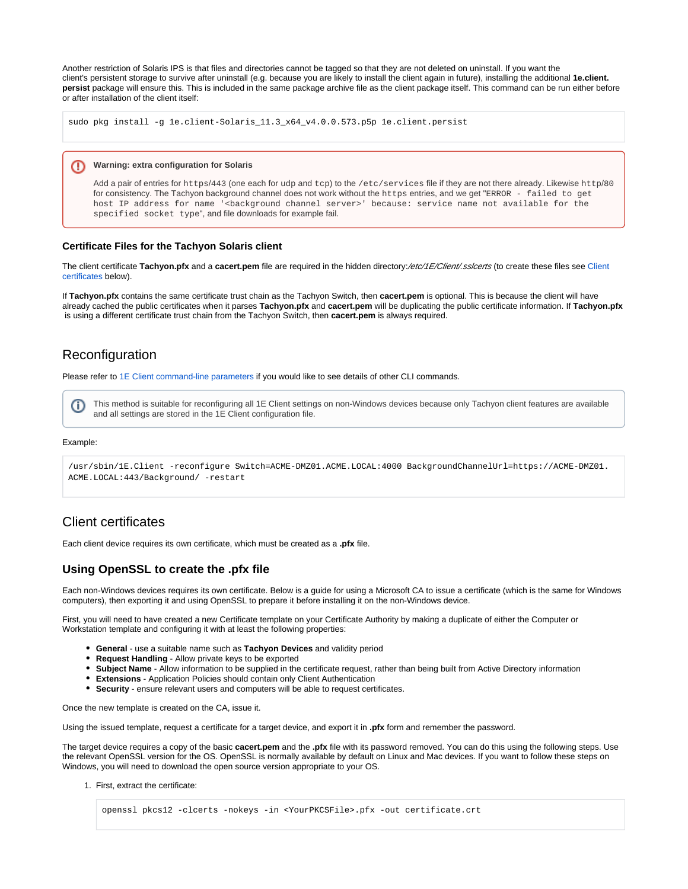Another restriction of Solaris IPS is that files and directories cannot be tagged so that they are not deleted on uninstall. If you want the client's persistent storage to survive after uninstall (e.g. because you are likely to install the client again in future), installing the additional **1e.client. persist** package will ensure this. This is included in the same package archive file as the client package itself. This command can be run either before or after installation of the client itself:

sudo pkg install -g 1e.client-Solaris 11.3 x64 v4.0.0.573.p5p 1e.client.persist

#### **Warning: extra configuration for Solaris** (!)

Add a pair of entries for https/443 (one each for udp and tcp) to the /etc/services file if they are not there already. Likewise http/80 for consistency. The Tachyon background channel does not work without the https entries, and we get "ERROR - failed to get host IP address for name '<br/>background channel server>' because: service name not available for the specified socket type", and file downloads for example fail.

### **Certificate Files for the Tachyon Solaris client**

The client certificate Tachyon.pfx and a cacert.pem file are required in the hidden directory:/etc/1E/Client/.sslcerts (to create these files see Client [certificates](#page-2-0) below).

If **Tachyon.pfx** contains the same certificate trust chain as the Tachyon Switch, then **cacert.pem** is optional. This is because the client will have already cached the public certificates when it parses **Tachyon.pfx** and **cacert.pem** will be duplicating the public certificate information. If **Tachyon.pfx** is using a different certificate trust chain from the Tachyon Switch, then **cacert.pem** is always required.

# <span id="page-2-1"></span>Reconfiguration

Please refer to [1E Client command-line parameters](https://help.1e.com/display/1EC52/1E+Client+command-line+parameters) if you would like to see details of other CLI commands.

This method is suitable for reconfiguring all 1E Client settings on non-Windows devices because only Tachyon client features are available O) and all settings are stored in the 1E Client configuration file.

### Example:

```
/usr/sbin/1E.Client -reconfigure Switch=ACME-DMZ01.ACME.LOCAL:4000 BackgroundChannelUrl=https://ACME-DMZ01.
ACME.LOCAL:443/Background/ -restart
```
# <span id="page-2-0"></span>Client certificates

Each client device requires its own certificate, which must be created as a **.pfx** file.

### <span id="page-2-2"></span>**Using OpenSSL to create the .pfx file**

Each non-Windows devices requires its own certificate. Below is a guide for using a Microsoft CA to issue a certificate (which is the same for Windows computers), then exporting it and using OpenSSL to prepare it before installing it on the non-Windows device.

First, you will need to have created a new Certificate template on your Certificate Authority by making a duplicate of either the Computer or Workstation template and configuring it with at least the following properties:

- **General** use a suitable name such as **Tachyon Devices** and validity period
- **Request Handling** Allow private keys to be exported
- **Subject Name** Allow information to be supplied in the certificate request, rather than being built from Active Directory information
- **Extensions** Application Policies should contain only Client Authentication
- **Security** ensure relevant users and computers will be able to request certificates.

Once the new template is created on the CA, issue it.

Using the issued template, request a certificate for a target device, and export it in **.pfx** form and remember the password.

The target device requires a copy of the basic **cacert.pem** and the **.pfx** file with its password removed. You can do this using the following steps. Use the relevant OpenSSL version for the OS. OpenSSL is normally available by default on Linux and Mac devices. If you want to follow these steps on Windows, you will need to download the open source version appropriate to your OS.

1. First, extract the certificate:

```
openssl pkcs12 -clcerts -nokeys -in <YourPKCSFile>.pfx -out certificate.crt
```